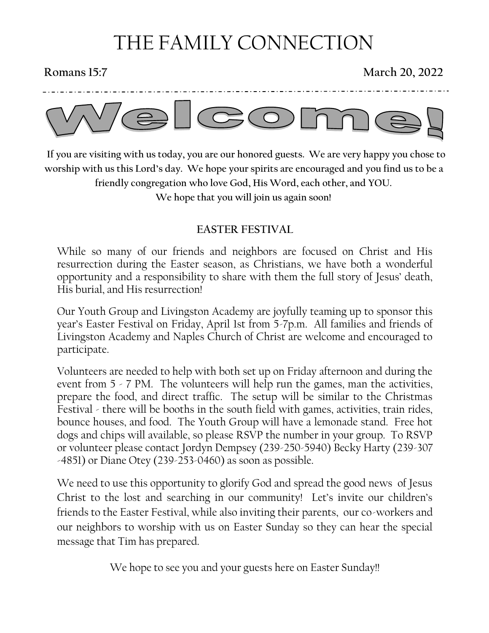# THE FAMILY CONNECTION

#### **Romans 15:7** March 20, 2022



 **If you are visiting with us today, you are our honored guests. We are very happy you chose to worship with us this Lord's day. We hope your spirits are encouraged and you find us to be a friendly congregation who love God, His Word, each other, and YOU. We hope that you will join us again soon!**

#### **EASTER FESTIVAL**

While so many of our friends and neighbors are focused on Christ and His resurrection during the Easter season, as Christians, we have both a wonderful opportunity and a responsibility to share with them the full story of Jesus' death, His burial, and His resurrection!

Our Youth Group and Livingston Academy are joyfully teaming up to sponsor this year's Easter Festival on Friday, April 1st from 5-7p.m. All families and friends of Livingston Academy and Naples Church of Christ are welcome and encouraged to participate.

Volunteers are needed to help with both set up on Friday afternoon and during the event from 5 - 7 PM. The volunteers will help run the games, man the activities, prepare the food, and direct traffic. The setup will be similar to the Christmas Festival - there will be booths in the south field with games, activities, train rides, bounce houses, and food. The Youth Group will have a lemonade stand. Free hot dogs and chips will available, so please RSVP the number in your group. To RSVP or volunteer please contact Jordyn Dempsey (239-250-5940) Becky Harty (239-307 -4851) or Diane Otey (239-253-0460) as soon as possible.

We need to use this opportunity to glorify God and spread the good news of Jesus Christ to the lost and searching in our community! Let's invite our children's friends to the Easter Festival, while also inviting their parents, our co-workers and our neighbors to worship with us on Easter Sunday so they can hear the special message that Tim has prepared.

We hope to see you and your guests here on Easter Sunday!!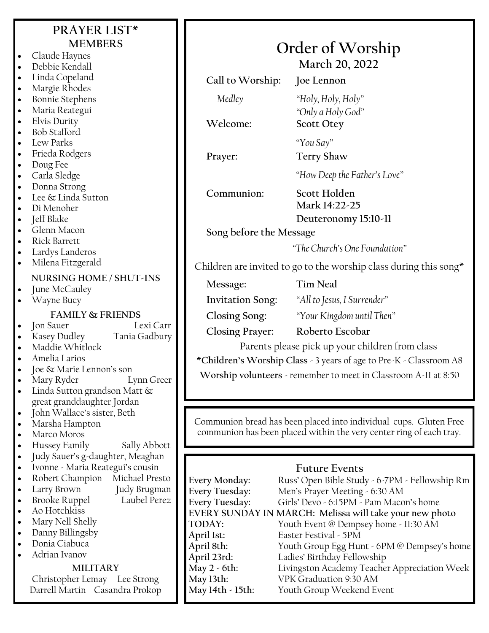| PRAYER LIST*<br><b>MEMBERS</b><br>Claude Haynes<br>Debbie Kendall                                                                                                                                                                                                                                                 |                                                                                                    | Order of Worship<br>March 20, 2022                                                                                                                                                                                                                                                                                              |
|-------------------------------------------------------------------------------------------------------------------------------------------------------------------------------------------------------------------------------------------------------------------------------------------------------------------|----------------------------------------------------------------------------------------------------|---------------------------------------------------------------------------------------------------------------------------------------------------------------------------------------------------------------------------------------------------------------------------------------------------------------------------------|
| Linda Copeland<br>$\bullet$                                                                                                                                                                                                                                                                                       | Call to Worship:                                                                                   | Joe Lennon                                                                                                                                                                                                                                                                                                                      |
| Margie Rhodes<br>$\bullet$<br><b>Bonnie Stephens</b><br>Maria Reategui<br>$\bullet$<br>Elvis Durity<br>$\bullet$                                                                                                                                                                                                  | Medley<br>Welcome:                                                                                 | "Holy, Holy, Holy"<br>"Only a Holy God"<br><b>Scott Otey</b>                                                                                                                                                                                                                                                                    |
| <b>Bob Stafford</b><br>$\bullet$<br>Lew Parks<br>$\bullet$                                                                                                                                                                                                                                                        |                                                                                                    | "You Say"                                                                                                                                                                                                                                                                                                                       |
| Frieda Rodgers<br>$\bullet$                                                                                                                                                                                                                                                                                       | Prayer:                                                                                            | <b>Terry Shaw</b>                                                                                                                                                                                                                                                                                                               |
| Doug Fee<br>$\bullet$<br>Carla Sledge<br>$\bullet$                                                                                                                                                                                                                                                                |                                                                                                    | "How Deep the Father's Love"                                                                                                                                                                                                                                                                                                    |
| Donna Strong<br>Lee & Linda Sutton<br>Di Menoher<br>$\bullet$<br>Jeff Blake                                                                                                                                                                                                                                       | Communion:                                                                                         | Scott Holden<br>Mark 14:22-25<br>Deuteronomy 15:10-11                                                                                                                                                                                                                                                                           |
| $\bullet$<br>Glenn Macon<br>$\bullet$<br><b>Rick Barrett</b><br>$\bullet$                                                                                                                                                                                                                                         | Song before the Message                                                                            |                                                                                                                                                                                                                                                                                                                                 |
| Lardys Landeros<br>$\bullet$<br>Milena Fitzgerald                                                                                                                                                                                                                                                                 | "The Church's One Foundation"<br>Children are invited to go to the worship class during this song* |                                                                                                                                                                                                                                                                                                                                 |
| NURSING HOME / SHUT-INS<br>June McCauley                                                                                                                                                                                                                                                                          | Message:                                                                                           | <b>Tim Neal</b>                                                                                                                                                                                                                                                                                                                 |
| Wayne Bucy                                                                                                                                                                                                                                                                                                        | <b>Invitation Song:</b>                                                                            | "All to Jesus, I Surrender"                                                                                                                                                                                                                                                                                                     |
| <b>FAMILY &amp; FRIENDS</b>                                                                                                                                                                                                                                                                                       | <b>Closing Song:</b>                                                                               | "Your Kingdom until Then"                                                                                                                                                                                                                                                                                                       |
| Jon Sauer<br>Lexi Carr<br>$\bullet$<br>Kasey Dudley<br>Tania Gadbury                                                                                                                                                                                                                                              | <b>Closing Prayer:</b>                                                                             | Roberto Escobar                                                                                                                                                                                                                                                                                                                 |
| Maddie Whitlock                                                                                                                                                                                                                                                                                                   |                                                                                                    | Parents please pick up your children from class                                                                                                                                                                                                                                                                                 |
| Amelia Larios                                                                                                                                                                                                                                                                                                     | *Children's Worship Class - 3 years of age to Pre-K - Classroom A8                                 |                                                                                                                                                                                                                                                                                                                                 |
| Joe & Marie Lennon's son<br>Mary Ryder<br>Lynn Greer<br>Linda Sutton grandson Matt &                                                                                                                                                                                                                              | Worship volunteers - remember to meet in Classroom A-11 at 8:50                                    |                                                                                                                                                                                                                                                                                                                                 |
| great granddaughter Jordan<br>John Wallace's sister, Beth<br>$\bullet$                                                                                                                                                                                                                                            |                                                                                                    |                                                                                                                                                                                                                                                                                                                                 |
| Marsha Hampton<br>Marco Moros<br>Hussey Family<br>Sally Abbott                                                                                                                                                                                                                                                    |                                                                                                    | Communion bread has been placed into individual cups. Gluten Free<br>communion has been placed within the very center ring of each tray.                                                                                                                                                                                        |
| Judy Sauer's g-daughter, Meaghan<br>$\bullet$<br>Ivonne - Maria Reategui's cousin<br>$\bullet$<br>Robert Champion<br>Michael Presto<br>Larry Brown<br>Judy Brugman<br><b>Brooke Ruppel</b><br>Laubel Perez<br>Ao Hotchkiss<br>$\bullet$<br>Mary Nell Shelly<br>Danny Billingsby<br>Donia Ciabuca<br>Adrian Ivanov | Every Monday:<br><b>Every Tuesday:</b><br>Every Tuesday:<br>TODAY:<br>April 1st:<br>April 8th:     | <b>Future Events</b><br>Russ' Open Bible Study - 6-7PM - Fellowship Rm<br>Men's Prayer Meeting - 6:30 AM<br>Girls' Devo - 6:15PM - Pam Macon's home<br>EVERY SUNDAY IN MARCH: Melissa will take your new photo<br>Youth Event @ Dempsey home - 11:30 AM<br>Easter Festival - 5PM<br>Youth Group Egg Hunt - 6PM @ Dempsey's home |
| <b>MILITARY</b>                                                                                                                                                                                                                                                                                                   | April 23rd:<br>May 2 - 6th:                                                                        | Ladies' Birthday Fellowship<br>Livingston Academy Teacher Appreciation Week                                                                                                                                                                                                                                                     |
|                                                                                                                                                                                                                                                                                                                   |                                                                                                    |                                                                                                                                                                                                                                                                                                                                 |

Livingston Academy Teacher Appreciation Week

Youth Group Weekend Event

**May 13th:** VPK Graduation 9:30 AM

#### **MILITARY**

Christopher Lemay Lee Strong Darrell Martin Casandra Prokop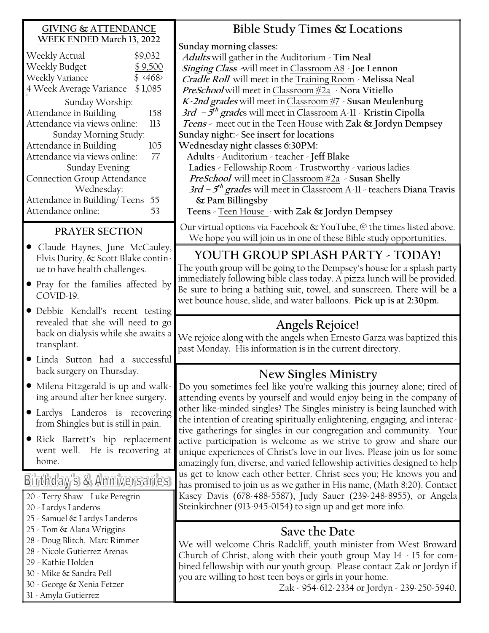#### **GIVING & ATTENDANCE WEEK ENDED March 13, 2022**

| Weekly Actual                      | \$9,032                 |  |  |
|------------------------------------|-------------------------|--|--|
| Weekly Budget                      | \$9,500                 |  |  |
| Weekly Variance                    | $$ \langle 468 \rangle$ |  |  |
| 4 Week Average Variance            | \$1,085                 |  |  |
| Sunday Worship:                    |                         |  |  |
| Attendance in Building             | 158                     |  |  |
| Attendance via views online:       |                         |  |  |
| Sunday Morning Study:              |                         |  |  |
| Attendance in Building             | 105                     |  |  |
| Attendance via views online:       |                         |  |  |
| Sunday Evening:                    |                         |  |  |
| <b>Connection Group Attendance</b> |                         |  |  |
| Wednesday:                         |                         |  |  |
| Attendance in Building/Teens       | 55                      |  |  |
| Attendance online:                 |                         |  |  |
|                                    |                         |  |  |

#### **PRAYER SECTION**

- Claude Haynes, June McCauley, Elvis Durity, & Scott Blake continue to have health challenges.
- Pray for the families affected by COVID-19.
- Debbie Kendall's recent testing revealed that she will need to go back on dialysis while she awaits a transplant.
- Linda Sutton had a successful back surgery on Thursday.
- Milena Fitzgerald is up and walking around after her knee surgery.
- Lardys Landeros is recovering from Shingles but is still in pain.
- Rick Barrett's hip replacement went well. He is recovering at home.

## Birthday's & Anniversaries

- 20 Terry Shaw Luke Peregrin
- 20 Lardys Landeros
- 25 Samuel & Lardys Landeros
- 25 Tom & Alana Wriggins
- 28 Doug Blitch, Marc Rimmer
- 28 Nicole Gutierrez Arenas
- 29 Kathie Holden
- 30 Mike & Sandra Pell
- 30 George & Xenia Fetzer
- 31 Amyla Gutierrez

**Bible Study Times & Locations**

**Sunday morning classes:**

**Adults** will gather in the Auditorium - **Tim Neal Singing Class -**will meet in Classroom A8 - **Joe Lennon Cradle Roll** will meet in the Training Room - **Melissa Neal PreSchool** will meet inClassroom #2a - **Nora Vitiello K-2nd grades** will meet inClassroom #7 - **Susan Meulenburg 3rd – 5 th grade**s will meet in Classroom A-11 - **Kristin Cipolla Teens -** meet out in the Teen House with **Zak & Jordyn Dempsey Sunday night:- See insert for locations Wednesday night classes 6:30PM:**

 **Adults** - Auditorium - teacher - **Jeff Blake Ladies -** Fellowship Room - Trustworthy - various ladies **PreSchool** will meet inClassroom #2a - **Susan Shelly 3rd – 5 th grade**s will meet in Classroom A-11 - teachers **Diana Travis & Pam Billingsby** 

**Teens** - Teen House - **with Zak & Jordyn Dempsey**

Our virtual options via Facebook & YouTube, @ the times listed above. We hope you will join us in one of these Bible study opportunities.

## **YOUTH GROUP SPLASH PARTY - TODAY!**

The youth group will be going to the Dempsey's house for a splash party immediately following bible class today. A pizza lunch will be provided. Be sure to bring a bathing suit, towel, and sunscreen. There will be a wet bounce house, slide, and water balloons. **Pick up is at 2:30pm.**

## **Angels Rejoice!**

We rejoice along with the angels when Ernesto Garza was baptized this past Monday**.** His information is in the current directory.

## **New Singles Ministry**

Do you sometimes feel like you're walking this journey alone; tired of attending events by yourself and would enjoy being in the company of other like-minded singles? The Singles ministry is being launched with the intention of creating spiritually enlightening, engaging, and interactive gatherings for singles in our congregation and community. Your active participation is welcome as we strive to grow and share our unique experiences of Christ's love in our lives. Please join us for some amazingly fun, diverse, and varied fellowship activities designed to help us get to know each other better. Christ sees you; He knows you and has promised to join us as we gather in His name, (Math 8:20). Contact Kasey Davis (678-488-5587), Judy Sauer (239-248-8955), or Angela Steinkirchner (913-945-0154) to sign up and get more info.

#### **Save the Date**

We will welcome Chris Radcliff, youth minister from West Broward Church of Christ, along with their youth group May 14 - 15 for combined fellowship with our youth group. Please contact Zak or Jordyn if you are willing to host teen boys or girls in your home.

Zak - 954-612-2334 or Jordyn - 239-250-5940.